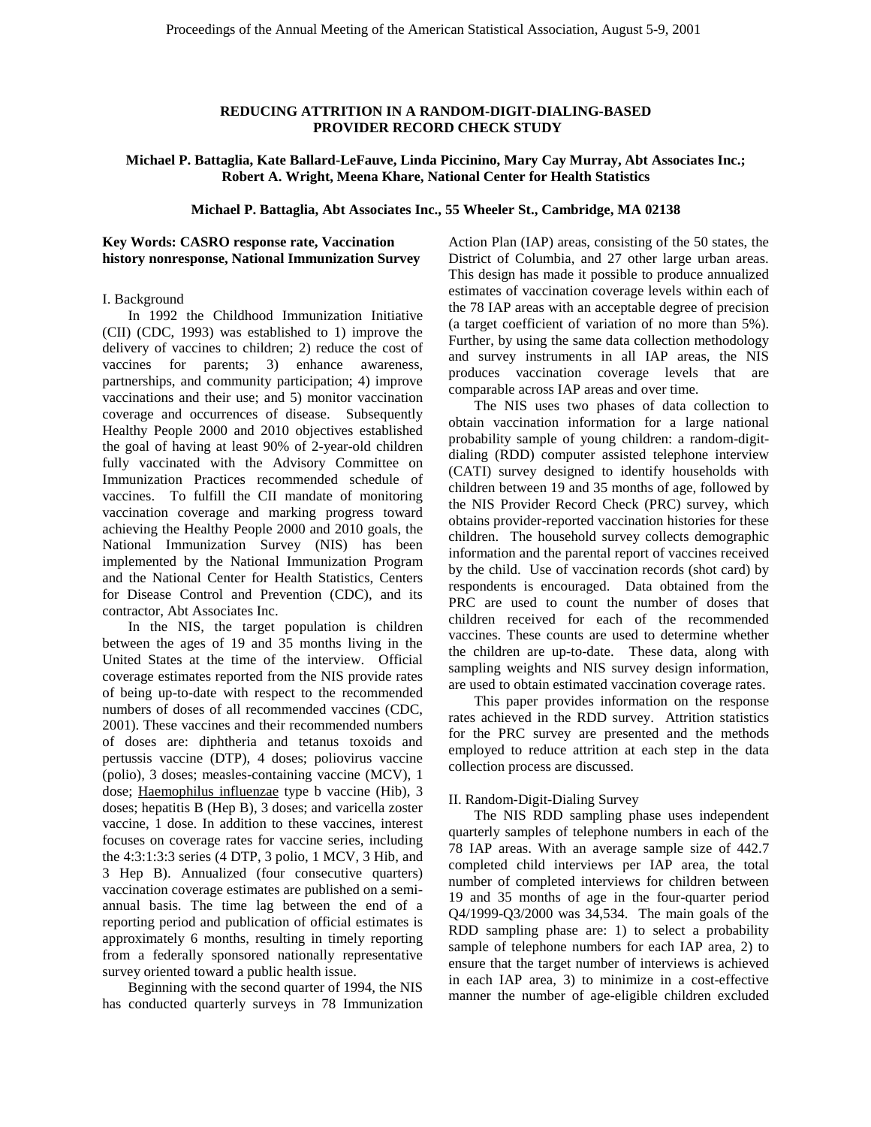## **REDUCING ATTRITION IN A RANDOM-DIGIT-DIALING-BASED PROVIDER RECORD CHECK STUDY**

**Michael P. Battaglia, Kate Ballard-LeFauve, Linda Piccinino, Mary Cay Murray, Abt Associates Inc.; Robert A. Wright, Meena Khare, National Center for Health Statistics** 

**Michael P. Battaglia, Abt Associates Inc., 55 Wheeler St., Cambridge, MA 02138** 

# **Key Words: CASRO response rate, Vaccination history nonresponse, National Immunization Survey**

#### I. Background

In 1992 the Childhood Immunization Initiative (CII) (CDC, 1993) was established to 1) improve the delivery of vaccines to children; 2) reduce the cost of vaccines for parents; 3) enhance awareness, partnerships, and community participation; 4) improve vaccinations and their use; and 5) monitor vaccination coverage and occurrences of disease. Subsequently Healthy People 2000 and 2010 objectives established the goal of having at least 90% of 2-year-old children fully vaccinated with the Advisory Committee on Immunization Practices recommended schedule of vaccines. To fulfill the CII mandate of monitoring vaccination coverage and marking progress toward achieving the Healthy People 2000 and 2010 goals, the National Immunization Survey (NIS) has been implemented by the National Immunization Program and the National Center for Health Statistics, Centers for Disease Control and Prevention (CDC), and its contractor, Abt Associates Inc.

In the NIS, the target population is children between the ages of 19 and 35 months living in the United States at the time of the interview. Official coverage estimates reported from the NIS provide rates of being up-to-date with respect to the recommended numbers of doses of all recommended vaccines (CDC, 2001). These vaccines and their recommended numbers of doses are: diphtheria and tetanus toxoids and pertussis vaccine (DTP), 4 doses; poliovirus vaccine (polio), 3 doses; measles-containing vaccine (MCV), 1 dose; Haemophilus influenzae type b vaccine (Hib), 3 doses; hepatitis B (Hep B), 3 doses; and varicella zoster vaccine, 1 dose. In addition to these vaccines, interest focuses on coverage rates for vaccine series, including the 4:3:1:3:3 series (4 DTP, 3 polio, 1 MCV, 3 Hib, and 3 Hep B). Annualized (four consecutive quarters) vaccination coverage estimates are published on a semiannual basis. The time lag between the end of a reporting period and publication of official estimates is approximately 6 months, resulting in timely reporting from a federally sponsored nationally representative survey oriented toward a public health issue.

Beginning with the second quarter of 1994, the NIS has conducted quarterly surveys in 78 Immunization Action Plan (IAP) areas, consisting of the 50 states, the District of Columbia, and 27 other large urban areas. This design has made it possible to produce annualized estimates of vaccination coverage levels within each of the 78 IAP areas with an acceptable degree of precision (a target coefficient of variation of no more than 5%). Further, by using the same data collection methodology and survey instruments in all IAP areas, the NIS produces vaccination coverage levels that are comparable across IAP areas and over time.

The NIS uses two phases of data collection to obtain vaccination information for a large national probability sample of young children: a random-digitdialing (RDD) computer assisted telephone interview (CATI) survey designed to identify households with children between 19 and 35 months of age, followed by the NIS Provider Record Check (PRC) survey, which obtains provider-reported vaccination histories for these children. The household survey collects demographic information and the parental report of vaccines received by the child. Use of vaccination records (shot card) by respondents is encouraged. Data obtained from the PRC are used to count the number of doses that children received for each of the recommended vaccines. These counts are used to determine whether the children are up-to-date. These data, along with sampling weights and NIS survey design information, are used to obtain estimated vaccination coverage rates.

This paper provides information on the response rates achieved in the RDD survey. Attrition statistics for the PRC survey are presented and the methods employed to reduce attrition at each step in the data collection process are discussed.

# II. Random-Digit-Dialing Survey

The NIS RDD sampling phase uses independent quarterly samples of telephone numbers in each of the 78 IAP areas. With an average sample size of 442.7 completed child interviews per IAP area, the total number of completed interviews for children between 19 and 35 months of age in the four-quarter period Q4/1999-Q3/2000 was 34,534. The main goals of the RDD sampling phase are: 1) to select a probability sample of telephone numbers for each IAP area, 2) to ensure that the target number of interviews is achieved in each IAP area, 3) to minimize in a cost-effective manner the number of age-eligible children excluded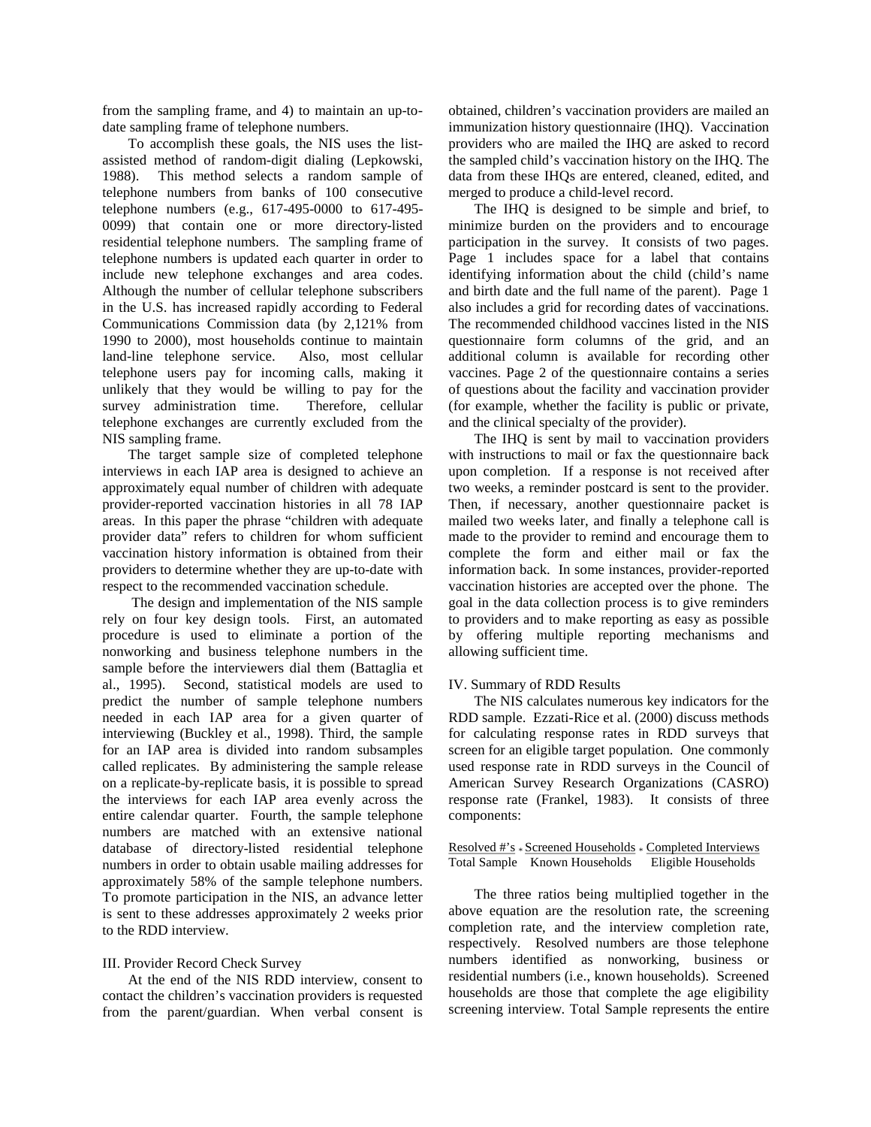from the sampling frame, and 4) to maintain an up-todate sampling frame of telephone numbers.

To accomplish these goals, the NIS uses the listassisted method of random-digit dialing (Lepkowski, 1988). This method selects a random sample of telephone numbers from banks of 100 consecutive telephone numbers (e.g., 617-495-0000 to 617-495- 0099) that contain one or more directory-listed residential telephone numbers. The sampling frame of telephone numbers is updated each quarter in order to include new telephone exchanges and area codes. Although the number of cellular telephone subscribers in the U.S. has increased rapidly according to Federal Communications Commission data (by 2,121% from 1990 to 2000), most households continue to maintain land-line telephone service. Also, most cellular telephone users pay for incoming calls, making it unlikely that they would be willing to pay for the survey administration time. Therefore, cellular telephone exchanges are currently excluded from the NIS sampling frame.

The target sample size of completed telephone interviews in each IAP area is designed to achieve an approximately equal number of children with adequate provider-reported vaccination histories in all 78 IAP areas. In this paper the phrase "children with adequate provider data" refers to children for whom sufficient vaccination history information is obtained from their providers to determine whether they are up-to-date with respect to the recommended vaccination schedule.

The design and implementation of the NIS sample rely on four key design tools. First, an automated procedure is used to eliminate a portion of the nonworking and business telephone numbers in the sample before the interviewers dial them (Battaglia et al., 1995). Second, statistical models are used to predict the number of sample telephone numbers needed in each IAP area for a given quarter of interviewing (Buckley et al., 1998). Third, the sample for an IAP area is divided into random subsamples called replicates. By administering the sample release on a replicate-by-replicate basis, it is possible to spread the interviews for each IAP area evenly across the entire calendar quarter. Fourth, the sample telephone numbers are matched with an extensive national database of directory-listed residential telephone numbers in order to obtain usable mailing addresses for approximately 58% of the sample telephone numbers. To promote participation in the NIS, an advance letter is sent to these addresses approximately 2 weeks prior to the RDD interview.

# III. Provider Record Check Survey

At the end of the NIS RDD interview, consent to contact the children's vaccination providers is requested from the parent/guardian. When verbal consent is

obtained, children's vaccination providers are mailed an immunization history questionnaire (IHQ). Vaccination providers who are mailed the IHQ are asked to record the sampled child's vaccination history on the IHQ. The data from these IHQs are entered, cleaned, edited, and merged to produce a child-level record.

The IHQ is designed to be simple and brief, to minimize burden on the providers and to encourage participation in the survey. It consists of two pages. Page 1 includes space for a label that contains identifying information about the child (child's name and birth date and the full name of the parent). Page 1 also includes a grid for recording dates of vaccinations. The recommended childhood vaccines listed in the NIS questionnaire form columns of the grid, and an additional column is available for recording other vaccines. Page 2 of the questionnaire contains a series of questions about the facility and vaccination provider (for example, whether the facility is public or private, and the clinical specialty of the provider).

The IHQ is sent by mail to vaccination providers with instructions to mail or fax the questionnaire back upon completion. If a response is not received after two weeks, a reminder postcard is sent to the provider. Then, if necessary, another questionnaire packet is mailed two weeks later, and finally a telephone call is made to the provider to remind and encourage them to complete the form and either mail or fax the information back. In some instances, provider-reported vaccination histories are accepted over the phone. The goal in the data collection process is to give reminders to providers and to make reporting as easy as possible by offering multiple reporting mechanisms and allowing sufficient time.

# IV. Summary of RDD Results

The NIS calculates numerous key indicators for the RDD sample. Ezzati-Rice et al. (2000) discuss methods for calculating response rates in RDD surveys that screen for an eligible target population. One commonly used response rate in RDD surveys in the Council of American Survey Research Organizations (CASRO) response rate (Frankel, 1983). It consists of three components:

Resolved #'s \* Screened Households \* Completed Interviews<br>Total Sample Known Households Eligible Households Total Sample Known Households

The three ratios being multiplied together in the above equation are the resolution rate, the screening completion rate, and the interview completion rate, respectively. Resolved numbers are those telephone numbers identified as nonworking, business or residential numbers (i.e., known households). Screened households are those that complete the age eligibility screening interview. Total Sample represents the entire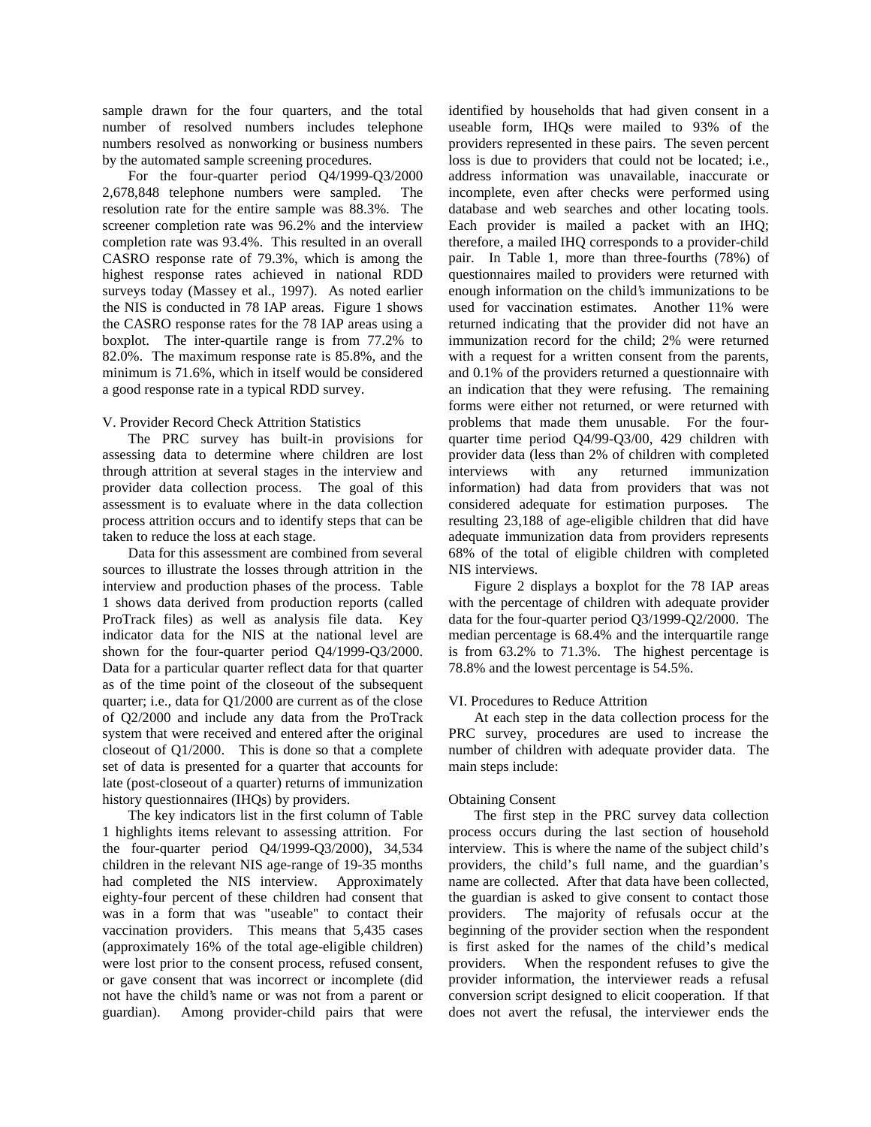sample drawn for the four quarters, and the total number of resolved numbers includes telephone numbers resolved as nonworking or business numbers by the automated sample screening procedures.

For the four-quarter period Q4/1999-Q3/2000 2,678,848 telephone numbers were sampled. The resolution rate for the entire sample was 88.3%. The screener completion rate was 96.2% and the interview completion rate was 93.4%. This resulted in an overall CASRO response rate of 79.3%, which is among the highest response rates achieved in national RDD surveys today (Massey et al., 1997). As noted earlier the NIS is conducted in 78 IAP areas. Figure 1 shows the CASRO response rates for the 78 IAP areas using a boxplot. The inter-quartile range is from 77.2% to 82.0%. The maximum response rate is 85.8%, and the minimum is 71.6%, which in itself would be considered a good response rate in a typical RDD survey.

# V. Provider Record Check Attrition Statistics

The PRC survey has built-in provisions for assessing data to determine where children are lost through attrition at several stages in the interview and provider data collection process. The goal of this assessment is to evaluate where in the data collection process attrition occurs and to identify steps that can be taken to reduce the loss at each stage.

Data for this assessment are combined from several sources to illustrate the losses through attrition in the interview and production phases of the process. Table 1 shows data derived from production reports (called ProTrack files) as well as analysis file data. Key indicator data for the NIS at the national level are shown for the four-quarter period Q4/1999-Q3/2000. Data for a particular quarter reflect data for that quarter as of the time point of the closeout of the subsequent quarter; i.e., data for Q1/2000 are current as of the close of Q2/2000 and include any data from the ProTrack system that were received and entered after the original closeout of Q1/2000. This is done so that a complete set of data is presented for a quarter that accounts for late (post-closeout of a quarter) returns of immunization history questionnaires (IHQs) by providers.

The key indicators list in the first column of Table 1 highlights items relevant to assessing attrition. For the four-quarter period Q4/1999-Q3/2000), 34,534 children in the relevant NIS age-range of 19-35 months had completed the NIS interview. Approximately eighty-four percent of these children had consent that was in a form that was "useable" to contact their vaccination providers. This means that 5,435 cases (approximately 16% of the total age-eligible children) were lost prior to the consent process, refused consent, or gave consent that was incorrect or incomplete (did not have the child's name or was not from a parent or guardian). Among provider-child pairs that were

identified by households that had given consent in a useable form, IHQs were mailed to 93% of the providers represented in these pairs. The seven percent loss is due to providers that could not be located; i.e., address information was unavailable, inaccurate or incomplete, even after checks were performed using database and web searches and other locating tools. Each provider is mailed a packet with an IHQ; therefore, a mailed IHQ corresponds to a provider-child pair. In Table 1, more than three-fourths (78%) of questionnaires mailed to providers were returned with enough information on the child's immunizations to be used for vaccination estimates. Another 11% were returned indicating that the provider did not have an immunization record for the child; 2% were returned with a request for a written consent from the parents, and 0.1% of the providers returned a questionnaire with an indication that they were refusing. The remaining forms were either not returned, or were returned with problems that made them unusable. For the fourquarter time period Q4/99-Q3/00, 429 children with provider data (less than 2% of children with completed interviews with any returned immunization information) had data from providers that was not considered adequate for estimation purposes. The resulting 23,188 of age-eligible children that did have adequate immunization data from providers represents 68% of the total of eligible children with completed NIS interviews.

Figure 2 displays a boxplot for the 78 IAP areas with the percentage of children with adequate provider data for the four-quarter period Q3/1999-Q2/2000. The median percentage is 68.4% and the interquartile range is from 63.2% to 71.3%. The highest percentage is 78.8% and the lowest percentage is 54.5%.

# VI. Procedures to Reduce Attrition

At each step in the data collection process for the PRC survey, procedures are used to increase the number of children with adequate provider data. The main steps include:

# Obtaining Consent

The first step in the PRC survey data collection process occurs during the last section of household interview. This is where the name of the subject child's providers, the child's full name, and the guardian's name are collected. After that data have been collected, the guardian is asked to give consent to contact those providers. The majority of refusals occur at the beginning of the provider section when the respondent is first asked for the names of the child's medical providers. When the respondent refuses to give the provider information, the interviewer reads a refusal conversion script designed to elicit cooperation. If that does not avert the refusal, the interviewer ends the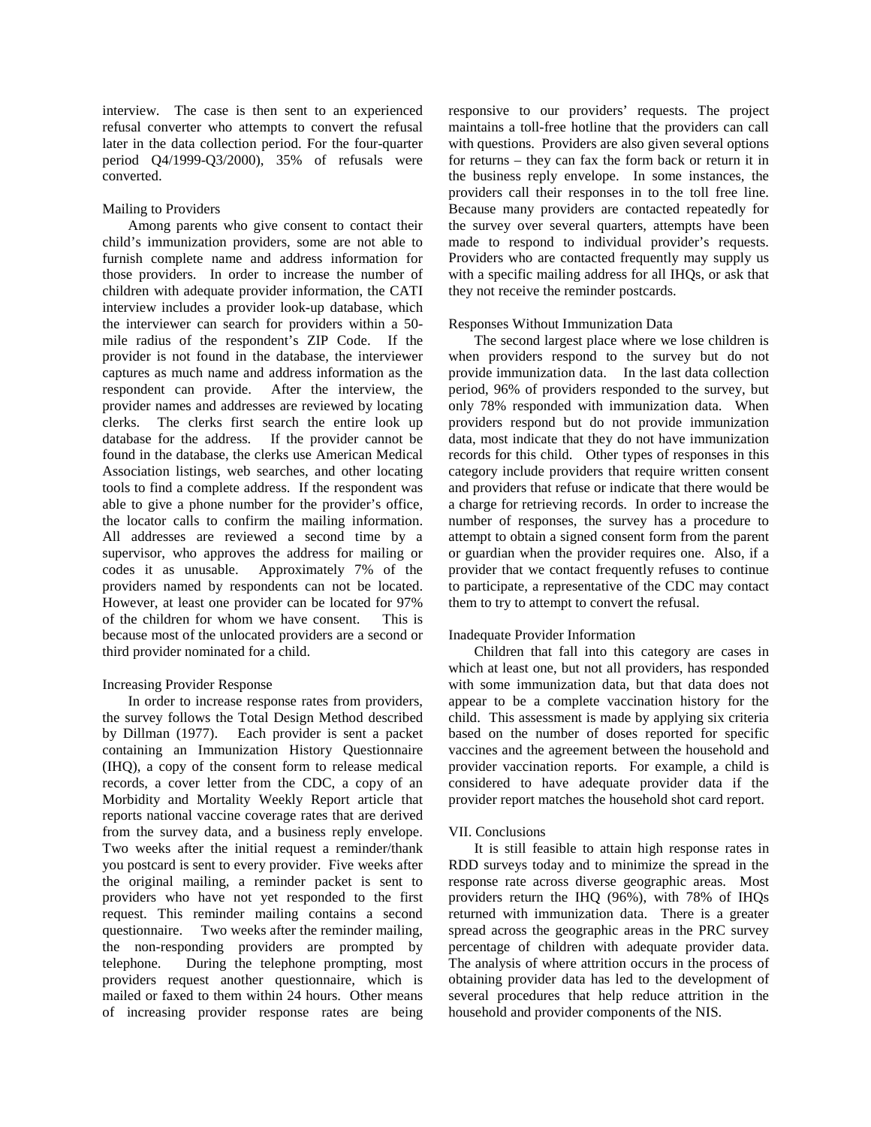interview. The case is then sent to an experienced refusal converter who attempts to convert the refusal later in the data collection period. For the four-quarter period Q4/1999-Q3/2000), 35% of refusals were converted.

# Mailing to Providers

Among parents who give consent to contact their child's immunization providers, some are not able to furnish complete name and address information for those providers. In order to increase the number of children with adequate provider information, the CATI interview includes a provider look-up database, which the interviewer can search for providers within a 50 mile radius of the respondent's ZIP Code. If the provider is not found in the database, the interviewer captures as much name and address information as the respondent can provide. After the interview, the provider names and addresses are reviewed by locating clerks. The clerks first search the entire look up database for the address. If the provider cannot be found in the database, the clerks use American Medical Association listings, web searches, and other locating tools to find a complete address. If the respondent was able to give a phone number for the provider's office, the locator calls to confirm the mailing information. All addresses are reviewed a second time by a supervisor, who approves the address for mailing or codes it as unusable. Approximately 7% of the providers named by respondents can not be located. However, at least one provider can be located for 97% of the children for whom we have consent. This is because most of the unlocated providers are a second or third provider nominated for a child.

# Increasing Provider Response

In order to increase response rates from providers, the survey follows the Total Design Method described by Dillman (1977). Each provider is sent a packet containing an Immunization History Questionnaire (IHQ), a copy of the consent form to release medical records, a cover letter from the CDC, a copy of an Morbidity and Mortality Weekly Report article that reports national vaccine coverage rates that are derived from the survey data, and a business reply envelope. Two weeks after the initial request a reminder/thank you postcard is sent to every provider. Five weeks after the original mailing, a reminder packet is sent to providers who have not yet responded to the first request. This reminder mailing contains a second questionnaire. Two weeks after the reminder mailing, the non-responding providers are prompted by telephone. During the telephone prompting, most providers request another questionnaire, which is mailed or faxed to them within 24 hours. Other means of increasing provider response rates are being

responsive to our providers' requests. The project maintains a toll-free hotline that the providers can call with questions. Providers are also given several options for returns – they can fax the form back or return it in the business reply envelope. In some instances, the providers call their responses in to the toll free line. Because many providers are contacted repeatedly for the survey over several quarters, attempts have been made to respond to individual provider's requests. Providers who are contacted frequently may supply us with a specific mailing address for all IHQs, or ask that they not receive the reminder postcards.

# Responses Without Immunization Data

The second largest place where we lose children is when providers respond to the survey but do not provide immunization data. In the last data collection period, 96% of providers responded to the survey, but only 78% responded with immunization data. When providers respond but do not provide immunization data, most indicate that they do not have immunization records for this child. Other types of responses in this category include providers that require written consent and providers that refuse or indicate that there would be a charge for retrieving records. In order to increase the number of responses, the survey has a procedure to attempt to obtain a signed consent form from the parent or guardian when the provider requires one. Also, if a provider that we contact frequently refuses to continue to participate, a representative of the CDC may contact them to try to attempt to convert the refusal.

# Inadequate Provider Information

Children that fall into this category are cases in which at least one, but not all providers, has responded with some immunization data, but that data does not appear to be a complete vaccination history for the child. This assessment is made by applying six criteria based on the number of doses reported for specific vaccines and the agreement between the household and provider vaccination reports. For example, a child is considered to have adequate provider data if the provider report matches the household shot card report.

# VII. Conclusions

It is still feasible to attain high response rates in RDD surveys today and to minimize the spread in the response rate across diverse geographic areas. Most providers return the IHQ (96%), with 78% of IHQs returned with immunization data. There is a greater spread across the geographic areas in the PRC survey percentage of children with adequate provider data. The analysis of where attrition occurs in the process of obtaining provider data has led to the development of several procedures that help reduce attrition in the household and provider components of the NIS.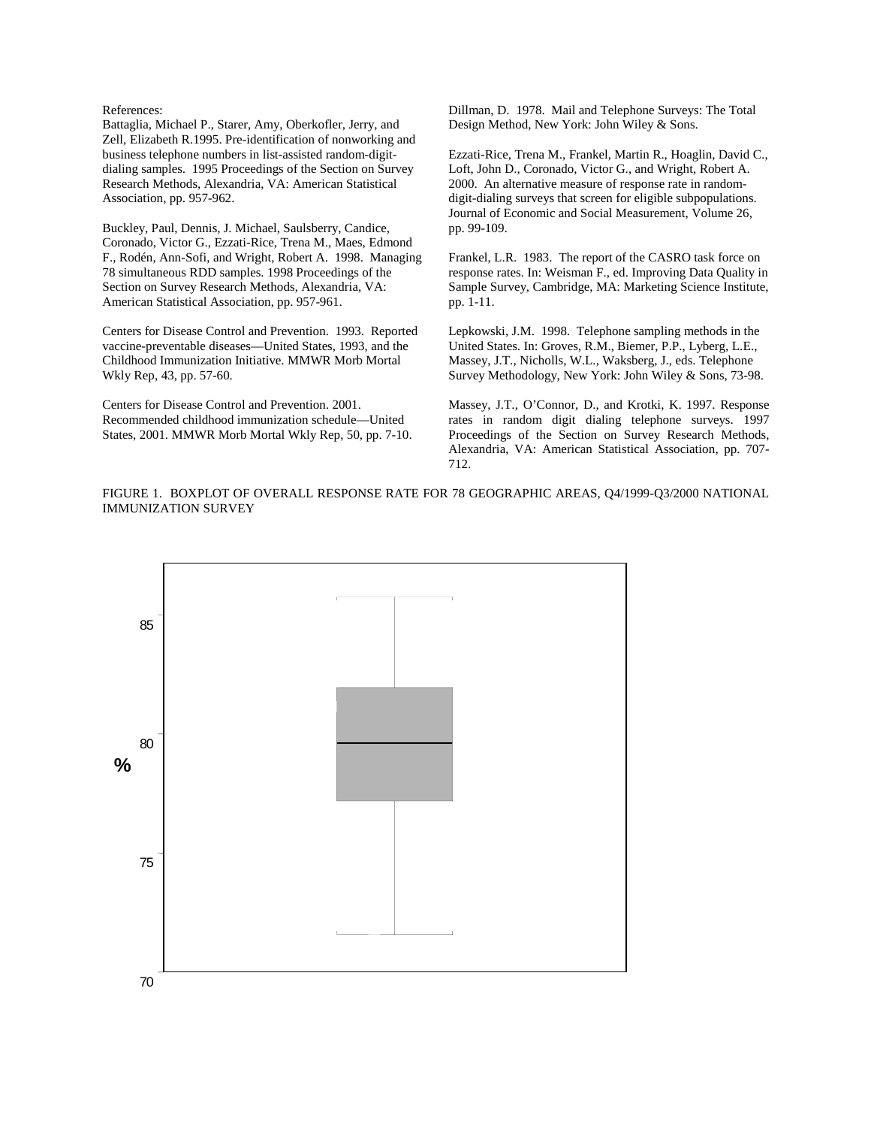References:

Battaglia, Michael P., Starer, Amy, Oberkofler, Jerry, and Zell, Elizabeth R.1995. Pre-identification of nonworking and business telephone numbers in list-assisted random-digitdialing samples. 1995 Proceedings of the Section on Survey Research Methods, Alexandria, VA: American Statistical Association, pp. 957-962.

Buckley, Paul, Dennis, J. Michael, Saulsberry, Candice, Coronado, Victor G., Ezzati-Rice, Trena M., Maes, Edmond F., Rodén, Ann-Sofi, and Wright, Robert A. 1998. Managing 78 simultaneous RDD samples. 1998 Proceedings of the Section on Survey Research Methods, Alexandria, VA: American Statistical Association, pp. 957-961.

Centers for Disease Control and Prevention. 1993. Reported vaccine-preventable diseases—United States, 1993, and the Childhood Immunization Initiative. MMWR Morb Mortal Wkly Rep, 43, pp. 57-60.

Centers for Disease Control and Prevention. 2001. Recommended childhood immunization schedule—United States, 2001. MMWR Morb Mortal Wkly Rep, 50, pp. 7-10. Dillman, D. 1978. Mail and Telephone Surveys: The Total Design Method, New York: John Wiley & Sons.

Ezzati-Rice, Trena M., Frankel, Martin R., Hoaglin, David C., Loft, John D., Coronado, Victor G., and Wright, Robert A. 2000. An alternative measure of response rate in randomdigit-dialing surveys that screen for eligible subpopulations. Journal of Economic and Social Measurement, Volume 26, pp. 99-109.

Frankel, L.R. 1983. The report of the CASRO task force on response rates. In: Weisman F., ed. Improving Data Quality in Sample Survey, Cambridge, MA: Marketing Science Institute, pp. 1-11.

Lepkowski, J.M. 1998. Telephone sampling methods in the United States. In: Groves, R.M., Biemer, P.P., Lyberg, L.E., Massey, J.T., Nicholls, W.L., Waksberg, J., eds. Telephone Survey Methodology, New York: John Wiley & Sons, 73-98.

Massey, J.T., O'Connor, D., and Krotki, K. 1997. Response rates in random digit dialing telephone surveys. 1997 Proceedings of the Section on Survey Research Methods, Alexandria, VA: American Statistical Association, pp. 707 712.

FIGURE 1. BOXPLOT OF OVERALL RESPONSE RATE FOR 78 GEOGRAPHIC AREAS, Q4/1999-Q3/2000 NATIONAL IMMUNIZATION SURVEY